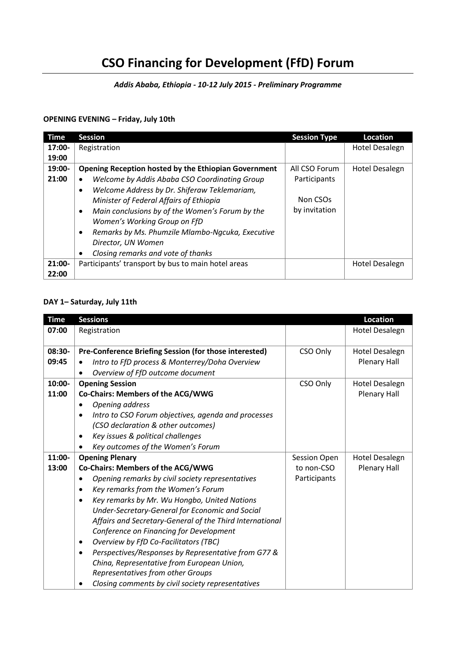# **CSO Financing for Development (FfD) Forum**

*Addis Ababa, Ethiopia - 10-12 July 2015 - Preliminary Programme*

#### **OPENING EVENING – Friday, July 10th**

| Time      | <b>Session</b>                                                                                                                                                                                                                                                                                                         | <b>Session Type</b>                   | <b>Location</b> |
|-----------|------------------------------------------------------------------------------------------------------------------------------------------------------------------------------------------------------------------------------------------------------------------------------------------------------------------------|---------------------------------------|-----------------|
| $17:00 -$ | Registration                                                                                                                                                                                                                                                                                                           |                                       | Hotel Desalegn  |
| 19:00     |                                                                                                                                                                                                                                                                                                                        |                                       |                 |
| 19:00-    | <b>Opening Reception hosted by the Ethiopian Government</b>                                                                                                                                                                                                                                                            | All CSO Forum                         | Hotel Desalegn  |
| 21:00     | Welcome by Addis Ababa CSO Coordinating Group<br>$\bullet$                                                                                                                                                                                                                                                             | Participants                          |                 |
|           | Welcome Address by Dr. Shiferaw Teklemariam,<br>٠<br>Minister of Federal Affairs of Ethiopia<br>Main conclusions by of the Women's Forum by the<br>٠<br>Women's Working Group on FfD<br>Remarks by Ms. Phumzile Mlambo-Ngcuka, Executive<br>$\bullet$<br>Director, UN Women<br>Closing remarks and vote of thanks<br>٠ | Non CSO <sub>s</sub><br>by invitation |                 |
| 21:00-    | Participants' transport by bus to main hotel areas                                                                                                                                                                                                                                                                     |                                       | Hotel Desalegn  |
| 22:00     |                                                                                                                                                                                                                                                                                                                        |                                       |                 |

#### **DAY 1– Saturday, July 11th**

| <b>Time</b>     | <b>Sessions</b>                                                                                                                                                                                                                                                                                                                                                                                                                                                                                                                                                                                                                   |                            | <b>Location</b>                       |
|-----------------|-----------------------------------------------------------------------------------------------------------------------------------------------------------------------------------------------------------------------------------------------------------------------------------------------------------------------------------------------------------------------------------------------------------------------------------------------------------------------------------------------------------------------------------------------------------------------------------------------------------------------------------|----------------------------|---------------------------------------|
| 07:00           | Registration                                                                                                                                                                                                                                                                                                                                                                                                                                                                                                                                                                                                                      |                            | <b>Hotel Desalegn</b>                 |
| 08:30-<br>09:45 | Pre-Conference Briefing Session (for those interested)<br>Intro to FfD process & Monterrey/Doha Overview<br>Overview of FfD outcome document<br>$\bullet$                                                                                                                                                                                                                                                                                                                                                                                                                                                                         | CSO Only                   | Hotel Desalegn<br><b>Plenary Hall</b> |
| 10:00-          | <b>Opening Session</b>                                                                                                                                                                                                                                                                                                                                                                                                                                                                                                                                                                                                            | CSO Only                   | <b>Hotel Desalegn</b>                 |
| 11:00           | Co-Chairs: Members of the ACG/WWG<br>Opening address<br>Intro to CSO Forum objectives, agenda and processes<br>$\bullet$<br>(CSO declaration & other outcomes)<br>Key issues & political challenges<br>$\bullet$<br>Key outcomes of the Women's Forum                                                                                                                                                                                                                                                                                                                                                                             |                            | <b>Plenary Hall</b>                   |
| 11:00-          | <b>Opening Plenary</b>                                                                                                                                                                                                                                                                                                                                                                                                                                                                                                                                                                                                            | Session Open               | <b>Hotel Desalegn</b>                 |
| 13:00           | Co-Chairs: Members of the ACG/WWG<br>Opening remarks by civil society representatives<br>Key remarks from the Women's Forum<br>$\bullet$<br>Key remarks by Mr. Wu Hongbo, United Nations<br>$\bullet$<br>Under-Secretary-General for Economic and Social<br>Affairs and Secretary-General of the Third International<br>Conference on Financing for Development<br>Overview by FfD Co-Facilitators (TBC)<br>$\bullet$<br>Perspectives/Responses by Representative from G77 &<br>$\bullet$<br>China, Representative from European Union,<br>Representatives from other Groups<br>Closing comments by civil society representatives | to non-CSO<br>Participants | <b>Plenary Hall</b>                   |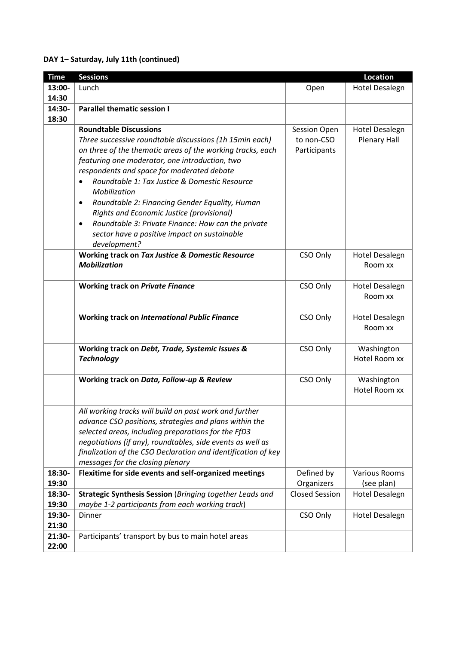## **DAY 1– Saturday, July 11th (continued)**

| <b>Time</b> | <b>Sessions</b>                                                            |                       | <b>Location</b>             |
|-------------|----------------------------------------------------------------------------|-----------------------|-----------------------------|
| 13:00-      | Lunch                                                                      | Open                  | <b>Hotel Desalegn</b>       |
| 14:30       |                                                                            |                       |                             |
| 14:30-      | <b>Parallel thematic session I</b>                                         |                       |                             |
| 18:30       |                                                                            |                       |                             |
|             | <b>Roundtable Discussions</b>                                              | Session Open          | <b>Hotel Desalegn</b>       |
|             | Three successive roundtable discussions (1h 15min each)                    | to non-CSO            | <b>Plenary Hall</b>         |
|             | on three of the thematic areas of the working tracks, each                 | Participants          |                             |
|             | featuring one moderator, one introduction, two                             |                       |                             |
|             | respondents and space for moderated debate                                 |                       |                             |
|             | Roundtable 1: Tax Justice & Domestic Resource<br>$\bullet$<br>Mobilization |                       |                             |
|             | Roundtable 2: Financing Gender Equality, Human<br>$\bullet$                |                       |                             |
|             | Rights and Economic Justice (provisional)                                  |                       |                             |
|             | Roundtable 3: Private Finance: How can the private<br>$\bullet$            |                       |                             |
|             | sector have a positive impact on sustainable                               |                       |                             |
|             | development?                                                               |                       |                             |
|             | Working track on Tax Justice & Domestic Resource                           | CSO Only              | <b>Hotel Desalegn</b>       |
|             | <b>Mobilization</b>                                                        |                       | Room xx                     |
|             |                                                                            |                       |                             |
|             | <b>Working track on Private Finance</b>                                    | CSO Only              | <b>Hotel Desalegn</b>       |
|             |                                                                            |                       | Room xx                     |
|             |                                                                            |                       |                             |
|             | <b>Working track on International Public Finance</b>                       | CSO Only              | <b>Hotel Desalegn</b>       |
|             |                                                                            |                       | Room xx                     |
|             |                                                                            |                       |                             |
|             | Working track on Debt, Trade, Systemic Issues &                            | CSO Only              | Washington                  |
|             | <b>Technology</b>                                                          |                       | Hotel Room xx               |
|             |                                                                            |                       |                             |
|             | Working track on Data, Follow-up & Review                                  | CSO Only              | Washington<br>Hotel Room xx |
|             |                                                                            |                       |                             |
|             | All working tracks will build on past work and further                     |                       |                             |
|             | advance CSO positions, strategies and plans within the                     |                       |                             |
|             | selected areas, including preparations for the FfD3                        |                       |                             |
|             | negotiations (if any), roundtables, side events as well as                 |                       |                             |
|             | finalization of the CSO Declaration and identification of key              |                       |                             |
|             | messages for the closing plenary                                           |                       |                             |
| 18:30-      | Flexitime for side events and self-organized meetings                      | Defined by            | <b>Various Rooms</b>        |
| 19:30       |                                                                            | Organizers            | (see plan)                  |
| 18:30-      | Strategic Synthesis Session (Bringing together Leads and                   | <b>Closed Session</b> | <b>Hotel Desalegn</b>       |
| 19:30       | maybe 1-2 participants from each working track)                            |                       |                             |
| 19:30-      | Dinner                                                                     | CSO Only              | <b>Hotel Desalegn</b>       |
| 21:30       |                                                                            |                       |                             |
| 21:30-      | Participants' transport by bus to main hotel areas                         |                       |                             |
| 22:00       |                                                                            |                       |                             |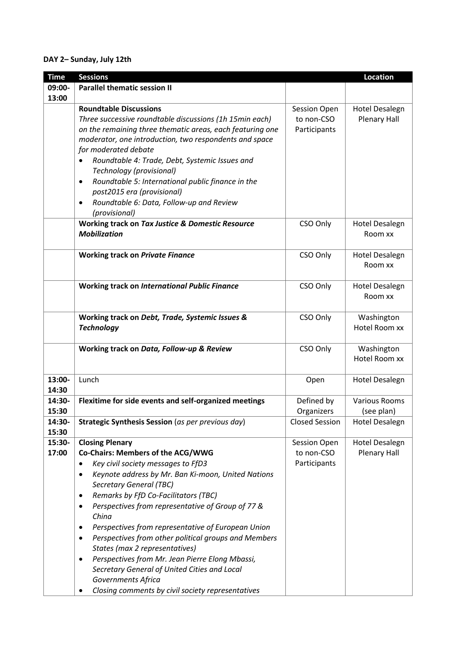## **DAY 2– Sunday, July 12th**

| <b>Time</b> | <b>Sessions</b>                                                            |                       | <b>Location</b>       |
|-------------|----------------------------------------------------------------------------|-----------------------|-----------------------|
| 09:00-      | <b>Parallel thematic session II</b>                                        |                       |                       |
| 13:00       |                                                                            |                       |                       |
|             | <b>Roundtable Discussions</b>                                              | Session Open          | <b>Hotel Desalegn</b> |
|             | Three successive roundtable discussions (1h 15min each)                    | to non-CSO            | <b>Plenary Hall</b>   |
|             | on the remaining three thematic areas, each featuring one                  | Participants          |                       |
|             | moderator, one introduction, two respondents and space                     |                       |                       |
|             | for moderated debate                                                       |                       |                       |
|             |                                                                            |                       |                       |
|             | Roundtable 4: Trade, Debt, Systemic Issues and<br>Technology (provisional) |                       |                       |
|             | Roundtable 5: International public finance in the<br>٠                     |                       |                       |
|             | post2015 era (provisional)                                                 |                       |                       |
|             | Roundtable 6: Data, Follow-up and Review<br>٠                              |                       |                       |
|             | (provisional)                                                              |                       |                       |
|             | Working track on Tax Justice & Domestic Resource                           | CSO Only              | <b>Hotel Desalegn</b> |
|             | <b>Mobilization</b>                                                        |                       | Room xx               |
|             |                                                                            |                       |                       |
|             | <b>Working track on Private Finance</b>                                    | CSO Only              | <b>Hotel Desalegn</b> |
|             |                                                                            |                       | Room xx               |
|             |                                                                            |                       |                       |
|             | <b>Working track on International Public Finance</b>                       | CSO Only              | <b>Hotel Desalegn</b> |
|             |                                                                            |                       | Room xx               |
|             |                                                                            |                       |                       |
|             | Working track on Debt, Trade, Systemic Issues &                            | CSO Only              | Washington            |
|             | <b>Technology</b>                                                          |                       | Hotel Room xx         |
|             |                                                                            |                       |                       |
|             | Working track on Data, Follow-up & Review                                  | CSO Only              | Washington            |
|             |                                                                            |                       | Hotel Room xx         |
|             |                                                                            |                       |                       |
| 13:00-      | Lunch                                                                      | Open                  | <b>Hotel Desalegn</b> |
| 14:30       |                                                                            |                       |                       |
| 14:30-      | Flexitime for side events and self-organized meetings                      | Defined by            | <b>Various Rooms</b>  |
| 15:30       |                                                                            | Organizers            | (see plan)            |
| 14:30-      | Strategic Synthesis Session (as per previous day)                          | <b>Closed Session</b> | <b>Hotel Desalegn</b> |
| 15:30       |                                                                            |                       |                       |
| 15:30-      | <b>Closing Plenary</b>                                                     | Session Open          | <b>Hotel Desalegn</b> |
| 17:00       | Co-Chairs: Members of the ACG/WWG                                          | to non-CSO            | <b>Plenary Hall</b>   |
|             |                                                                            |                       |                       |
|             | Key civil society messages to FfD3<br>٠                                    | Participants          |                       |
|             | Keynote address by Mr. Ban Ki-moon, United Nations<br>$\bullet$            |                       |                       |
|             | <b>Secretary General (TBC)</b>                                             |                       |                       |
|             | Remarks by FfD Co-Facilitators (TBC)<br>$\bullet$                          |                       |                       |
|             | Perspectives from representative of Group of 77 &<br>٠<br>China            |                       |                       |
|             | Perspectives from representative of European Union<br>$\bullet$            |                       |                       |
|             | Perspectives from other political groups and Members<br>٠                  |                       |                       |
|             | States (max 2 representatives)                                             |                       |                       |
|             | Perspectives from Mr. Jean Pierre Elong Mbassi,<br>$\bullet$               |                       |                       |
|             | Secretary General of United Cities and Local                               |                       |                       |
|             | Governments Africa                                                         |                       |                       |
|             | Closing comments by civil society representatives                          |                       |                       |
|             |                                                                            |                       |                       |